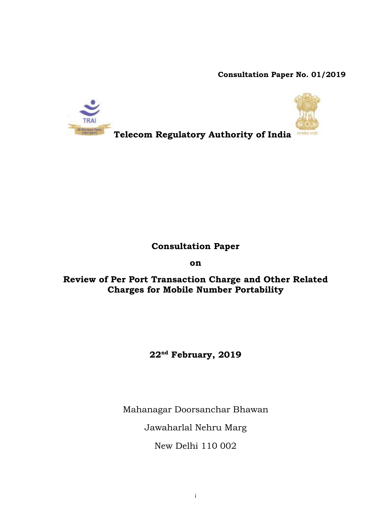**Consultation Paper No. 01/2019**



# **Consultation Paper**

**on**

**Review of Per Port Transaction Charge and Other Related Charges for Mobile Number Portability**

# **22nd February, 2019**

Mahanagar Doorsanchar Bhawan

Jawaharlal Nehru Marg

New Delhi 110 002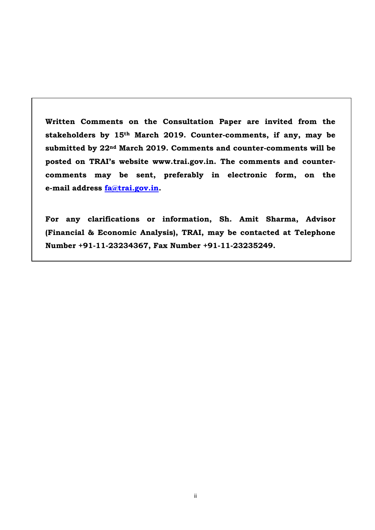**Written Comments on the Consultation Paper are invited from the stakeholders by 15th March 2019. Counter-comments, if any, may be submitted by 22nd March 2019. Comments and counter-comments will be posted on TRAI's website www.trai.gov.in. The comments and countercomments may be sent, preferably in electronic form, on the e-mail address [fa@trai.gov.in.](mailto:fa@trai.gov.in)** 

**For any clarifications or information, Sh. Amit Sharma, Advisor (Financial & Economic Analysis), TRAI, may be contacted at Telephone Number +91-11-23234367, Fax Number +91-11-23235249.**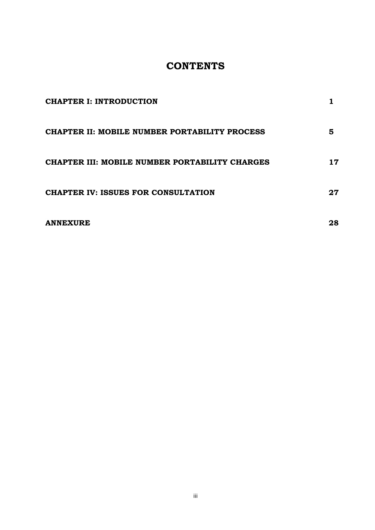# **CONTENTS**

| <b>CHAPTER I: INTRODUCTION</b>                 |    |
|------------------------------------------------|----|
| CHAPTER II: MOBILE NUMBER PORTABILITY PROCESS  | 5  |
| CHAPTER III: MOBILE NUMBER PORTABILITY CHARGES | 17 |
| <b>CHAPTER IV: ISSUES FOR CONSULTATION</b>     | 27 |
| <b>ANNEXURE</b>                                | 28 |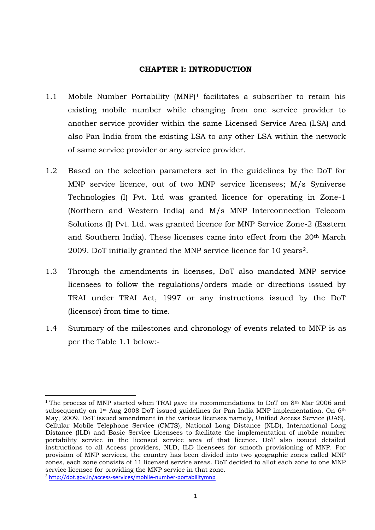### **CHAPTER I: INTRODUCTION**

- <span id="page-3-0"></span>1.1 Mobile Number Portability  $(MNP)^1$  facilitates a subscriber to retain his existing mobile number while changing from one service provider to another service provider within the same Licensed Service Area (LSA) and also Pan India from the existing LSA to any other LSA within the network of same service provider or any service provider.
- 1.2 Based on the selection parameters set in the guidelines by the DoT for MNP service licence, out of two MNP service licensees; M/s Syniverse Technologies (I) Pvt. Ltd was granted licence for operating in Zone-1 (Northern and Western India) and M/s MNP Interconnection Telecom Solutions (I) Pvt. Ltd. was granted licence for MNP Service Zone-2 (Eastern and Southern India). These licenses came into effect from the 20th March 2009. DoT initially granted the MNP service licence for 10 years2.
- 1.3 Through the amendments in licenses, DoT also mandated MNP service licensees to follow the regulations/orders made or directions issued by TRAI under TRAI Act, 1997 or any instructions issued by the DoT (licensor) from time to time.
- 1.4 Summary of the milestones and chronology of events related to MNP is as per the Table 1.1 below:-

**.** 

<sup>&</sup>lt;sup>1</sup> The process of MNP started when TRAI gave its recommendations to DoT on 8<sup>th</sup> Mar 2006 and subsequently on 1<sup>st</sup> Aug 2008 DoT issued guidelines for Pan India MNP implementation. On 6<sup>th</sup> May, 2009, DoT issued amendment in the various licenses namely, Unified Access Service (UAS), Cellular Mobile Telephone Service (CMTS), National Long Distance (NLD), International Long Distance (ILD) and Basic Service Licensees to facilitate the implementation of mobile number portability service in the licensed service area of that licence. DoT also issued detailed instructions to all Access providers, NLD, ILD licensees for smooth provisioning of MNP. For provision of MNP services, the country has been divided into two geographic zones called MNP zones, each zone consists of 11 licensed service areas. DoT decided to allot each zone to one MNP service licensee for providing the MNP service in that zone.

<sup>2</sup> <http://dot.gov.in/access-services/mobile-number-portabilitymnp>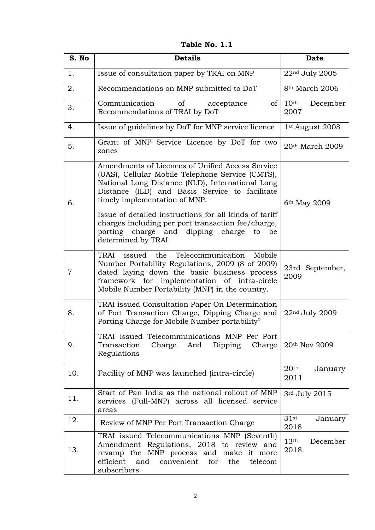**Table No. 1.1**

| S. No | <b>Details</b>                                                                                                                                                                                                                                                                                                                                                                                                                     | <b>Date</b>                           |
|-------|------------------------------------------------------------------------------------------------------------------------------------------------------------------------------------------------------------------------------------------------------------------------------------------------------------------------------------------------------------------------------------------------------------------------------------|---------------------------------------|
| 1.    | Issue of consultation paper by TRAI on MNP                                                                                                                                                                                                                                                                                                                                                                                         | 22nd July 2005                        |
| 2.    | Recommendations on MNP submitted to DoT                                                                                                                                                                                                                                                                                                                                                                                            | 8 <sup>th</sup> March 2006            |
| 3.    | Communication<br>of<br>of<br>acceptance<br>Recommendations of TRAI by DoT                                                                                                                                                                                                                                                                                                                                                          | 10 <sup>th</sup><br>December<br>2007  |
| 4.    | Issue of guidelines by DoT for MNP service licence                                                                                                                                                                                                                                                                                                                                                                                 | 1 <sup>st</sup> August 2008           |
| 5.    | Grant of MNP Service Licence by DoT for two<br>zones                                                                                                                                                                                                                                                                                                                                                                               | 20th March 2009                       |
| 6.    | Amendments of Licences of Unified Access Service<br>(UAS), Cellular Mobile Telephone Service (CMTS),<br>National Long Distance (NLD), International Long<br>Distance (ILD) and Basis Service to facilitate<br>timely implementation of MNP.<br>Issue of detailed instructions for all kinds of tariff<br>charges including per port transaction fee/charge,<br>porting charge and dipping charge<br>be<br>to<br>determined by TRAI | 6 <sup>th</sup> May 2009              |
| 7     | Telecommunication<br>TRAI<br>issued the<br>Mobile<br>Number Portability Regulations, 2009 (8 of 2009)<br>dated laying down the basic business process<br>framework for implementation of intra-circle<br>Mobile Number Portability (MNP) in the country.                                                                                                                                                                           | 23rd September,<br>2009               |
| 8.    | TRAI issued Consultation Paper On Determination<br>of Port Transaction Charge, Dipping Charge and<br>Porting Charge for Mobile Number portability"                                                                                                                                                                                                                                                                                 | 22nd July 2009                        |
| 9.    | TRAI issued Telecommunications MNP Per Port<br>Transaction<br>Charge And<br>Dipping<br>Charge<br>Regulations                                                                                                                                                                                                                                                                                                                       | 20th Nov 2009                         |
| 10.   | Facility of MNP was launched (intra-circle)                                                                                                                                                                                                                                                                                                                                                                                        | 20 <sup>th</sup><br>January<br>2011   |
| 11.   | Start of Pan India as the national rollout of MNP<br>services (Full-MNP) across all licensed service<br>areas                                                                                                                                                                                                                                                                                                                      | 3rd July 2015                         |
| 12.   | Review of MNP Per Port Transaction Charge                                                                                                                                                                                                                                                                                                                                                                                          | 31st<br>January<br>2018               |
| 13.   | TRAI issued Telecommunications MNP (Seventh)<br>Amendment Regulations, 2018 to review and<br>revamp the MNP process and make it more<br>and<br>convenient<br>efficient<br>for<br>the<br>telecom<br>subscribers                                                                                                                                                                                                                     | 13 <sup>th</sup><br>December<br>2018. |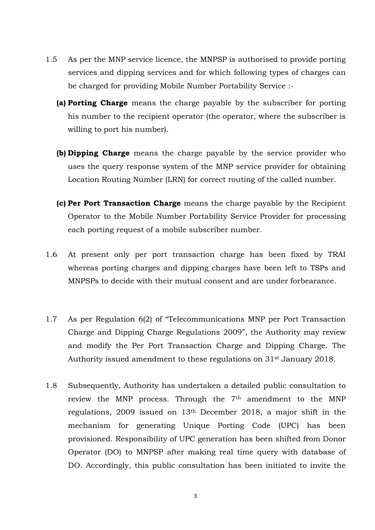- 1.5 As per the MNP service licence, the MNPSP is authorised to provide porting services and dipping services and for which following types of charges can be charged for providing Mobile Number Portability Service :-
	- **(a) Porting Charge** means the charge payable by the subscriber for porting his number to the recipient operator (the operator, where the subscriber is willing to port his number).
	- **(b) Dipping Charge** means the charge payable by the service provider who uses the query response system of the MNP service provider for obtaining Location Routing Number (LRN) for correct routing of the called number.
	- **(c) Per Port Transaction Charge** means the charge payable by the Recipient Operator to the Mobile Number Portability Service Provider for processing each porting request of a mobile subscriber number.
- 1.6 At present only per port transaction charge has been fixed by TRAI whereas porting charges and dipping charges have been left to TSPs and MNPSPs to decide with their mutual consent and are under forbearance.
- 1.7 As per Regulation 6(2) of "Telecommunications MNP per Port Transaction Charge and Dipping Charge Regulations 2009", the Authority may review and modify the Per Port Transaction Charge and Dipping Charge. The Authority issued amendment to these regulations on 31st January 2018.
- 1.8 Subsequently, Authority has undertaken a detailed public consultation to review the MNP process. Through the 7<sup>th</sup> amendment to the MNP regulations, 2009 issued on 13th December 2018, a major shift in the mechanism for generating Unique Porting Code (UPC) has been provisioned. Responsibility of UPC generation has been shifted from Donor Operator (DO) to MNPSP after making real time query with database of DO. Accordingly, this public consultation has been initiated to invite the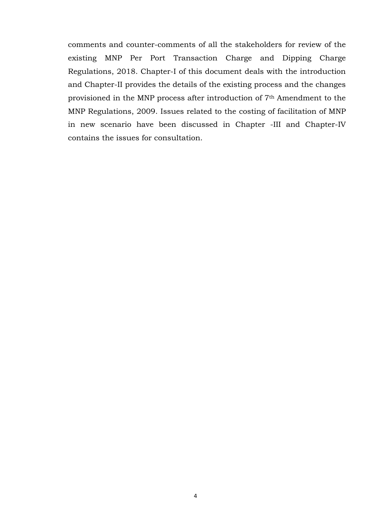comments and counter-comments of all the stakeholders for review of the existing MNP Per Port Transaction Charge and Dipping Charge Regulations, 2018. Chapter-I of this document deals with the introduction and Chapter-II provides the details of the existing process and the changes provisioned in the MNP process after introduction of 7th Amendment to the MNP Regulations, 2009. Issues related to the costing of facilitation of MNP in new scenario have been discussed in Chapter -III and Chapter-IV contains the issues for consultation.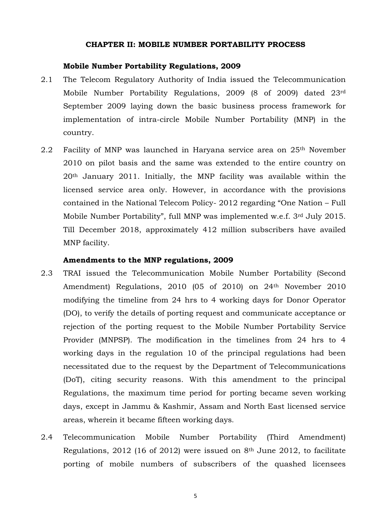### **CHAPTER II: MOBILE NUMBER PORTABILITY PROCESS**

## <span id="page-7-0"></span>**Mobile Number Portability Regulations, 2009**

- 2.1 The Telecom Regulatory Authority of India issued the Telecommunication Mobile Number Portability Regulations, 2009 (8 of 2009) dated 23rd September 2009 laying down the basic business process framework for implementation of intra-circle Mobile Number Portability (MNP) in the country.
- 2.2 Facility of MNP was launched in Haryana service area on 25th November 2010 on pilot basis and the same was extended to the entire country on 20th January 2011. Initially, the MNP facility was available within the licensed service area only. However, in accordance with the provisions contained in the National Telecom Policy- 2012 regarding "One Nation – Full Mobile Number Portability", full MNP was implemented w.e.f. 3rd July 2015. Till December 2018, approximately 412 million subscribers have availed MNP facility.

### **Amendments to the MNP regulations, 2009**

- 2.3 TRAI issued the Telecommunication Mobile Number Portability (Second Amendment) Regulations, 2010 (05 of 2010) on 24<sup>th</sup> November 2010 modifying the timeline from 24 hrs to 4 working days for Donor Operator (DO), to verify the details of porting request and communicate acceptance or rejection of the porting request to the Mobile Number Portability Service Provider (MNPSP). The modification in the timelines from 24 hrs to 4 working days in the regulation 10 of the principal regulations had been necessitated due to the request by the Department of Telecommunications (DoT), citing security reasons. With this amendment to the principal Regulations, the maximum time period for porting became seven working days, except in Jammu & Kashmir, Assam and North East licensed service areas, wherein it became fifteen working days.
- 2.4 Telecommunication Mobile Number Portability (Third Amendment) Regulations, 2012 (16 of 2012) were issued on 8th June 2012, to facilitate porting of mobile numbers of subscribers of the quashed licensees

5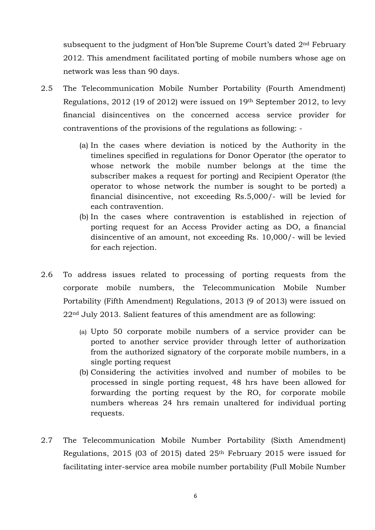subsequent to the judgment of Hon'ble Supreme Court's dated 2nd February 2012. This amendment facilitated porting of mobile numbers whose age on network was less than 90 days.

- 2.5 The Telecommunication Mobile Number Portability (Fourth Amendment) Regulations, 2012 (19 of 2012) were issued on 19th September 2012, to levy financial disincentives on the concerned access service provider for contraventions of the provisions of the regulations as following: -
	- (a) In the cases where deviation is noticed by the Authority in the timelines specified in regulations for Donor Operator (the operator to whose network the mobile number belongs at the time the subscriber makes a request for porting) and Recipient Operator (the operator to whose network the number is sought to be ported) a financial disincentive, not exceeding Rs.5,000/- will be levied for each contravention.
	- (b) In the cases where contravention is established in rejection of porting request for an Access Provider acting as DO, a financial disincentive of an amount, not exceeding Rs. 10,000/- will be levied for each rejection.
- 2.6 To address issues related to processing of porting requests from the corporate mobile numbers, the Telecommunication Mobile Number Portability (Fifth Amendment) Regulations, 2013 (9 of 2013) were issued on 22nd July 2013. Salient features of this amendment are as following:
	- (a) Upto 50 corporate mobile numbers of a service provider can be ported to another service provider through letter of authorization from the authorized signatory of the corporate mobile numbers, in a single porting request
	- (b) Considering the activities involved and number of mobiles to be processed in single porting request, 48 hrs have been allowed for forwarding the porting request by the RO, for corporate mobile numbers whereas 24 hrs remain unaltered for individual porting requests.
- 2.7 The Telecommunication Mobile Number Portability (Sixth Amendment) Regulations, 2015 (03 of 2015) dated 25th February 2015 were issued for facilitating inter-service area mobile number portability (Full Mobile Number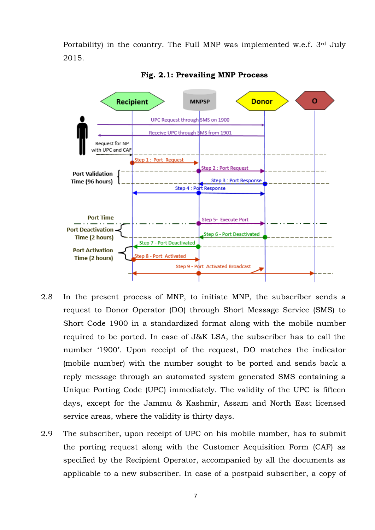Portability) in the country. The Full MNP was implemented w.e.f. 3rd July 2015.



**Fig. 2.1: Prevailing MNP Process**

- 2.8 In the present process of MNP, to initiate MNP, the subscriber sends a request to Donor Operator (DO) through Short Message Service (SMS) to Short Code 1900 in a standardized format along with the mobile number required to be ported. In case of J&K LSA, the subscriber has to call the number '1900'. Upon receipt of the request, DO matches the indicator (mobile number) with the number sought to be ported and sends back a reply message through an automated system generated SMS containing a Unique Porting Code (UPC) immediately. The validity of the UPC is fifteen days, except for the Jammu & Kashmir, Assam and North East licensed service areas, where the validity is thirty days.
- 2.9 The subscriber, upon receipt of UPC on his mobile number, has to submit the porting request along with the Customer Acquisition Form (CAF) as specified by the Recipient Operator, accompanied by all the documents as applicable to a new subscriber. In case of a postpaid subscriber, a copy of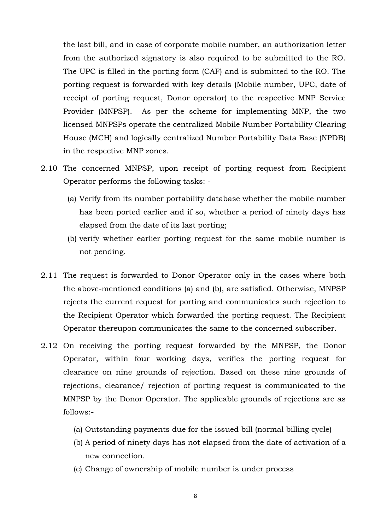the last bill, and in case of corporate mobile number, an authorization letter from the authorized signatory is also required to be submitted to the RO. The UPC is filled in the porting form (CAF) and is submitted to the RO. The porting request is forwarded with key details (Mobile number, UPC, date of receipt of porting request, Donor operator) to the respective MNP Service Provider (MNPSP). As per the scheme for implementing MNP, the two licensed MNPSPs operate the centralized Mobile Number Portability Clearing House (MCH) and logically centralized Number Portability Data Base (NPDB) in the respective MNP zones.

- 2.10 The concerned MNPSP, upon receipt of porting request from Recipient Operator performs the following tasks: -
	- (a) Verify from its number portability database whether the mobile number has been ported earlier and if so, whether a period of ninety days has elapsed from the date of its last porting;
	- (b) verify whether earlier porting request for the same mobile number is not pending.
- 2.11 The request is forwarded to Donor Operator only in the cases where both the above-mentioned conditions (a) and (b), are satisfied. Otherwise, MNPSP rejects the current request for porting and communicates such rejection to the Recipient Operator which forwarded the porting request. The Recipient Operator thereupon communicates the same to the concerned subscriber.
- 2.12 On receiving the porting request forwarded by the MNPSP, the Donor Operator, within four working days, verifies the porting request for clearance on nine grounds of rejection. Based on these nine grounds of rejections, clearance/ rejection of porting request is communicated to the MNPSP by the Donor Operator. The applicable grounds of rejections are as follows:-
	- (a) Outstanding payments due for the issued bill (normal billing cycle)
	- (b) A period of ninety days has not elapsed from the date of activation of a new connection.
	- (c) Change of ownership of mobile number is under process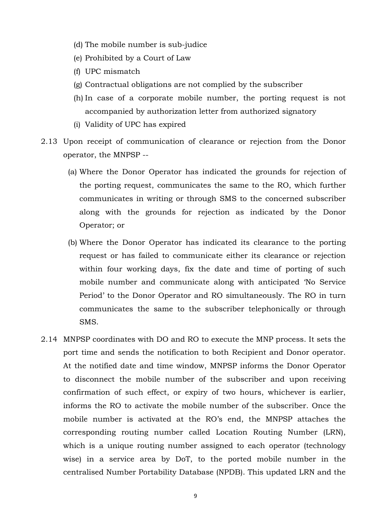- (d) The mobile number is sub-judice
- (e) Prohibited by a Court of Law
- (f) UPC mismatch
- (g) Contractual obligations are not complied by the subscriber
- (h) In case of a corporate mobile number, the porting request is not accompanied by authorization letter from authorized signatory
- (i) Validity of UPC has expired
- 2.13 Upon receipt of communication of clearance or rejection from the Donor operator, the MNPSP --
	- (a) Where the Donor Operator has indicated the grounds for rejection of the porting request, communicates the same to the RO, which further communicates in writing or through SMS to the concerned subscriber along with the grounds for rejection as indicated by the Donor Operator; or
	- (b) Where the Donor Operator has indicated its clearance to the porting request or has failed to communicate either its clearance or rejection within four working days, fix the date and time of porting of such mobile number and communicate along with anticipated 'No Service Period' to the Donor Operator and RO simultaneously. The RO in turn communicates the same to the subscriber telephonically or through SMS.
- 2.14 MNPSP coordinates with DO and RO to execute the MNP process. It sets the port time and sends the notification to both Recipient and Donor operator. At the notified date and time window, MNPSP informs the Donor Operator to disconnect the mobile number of the subscriber and upon receiving confirmation of such effect, or expiry of two hours, whichever is earlier, informs the RO to activate the mobile number of the subscriber. Once the mobile number is activated at the RO's end, the MNPSP attaches the corresponding routing number called Location Routing Number (LRN), which is a unique routing number assigned to each operator (technology wise) in a service area by DoT, to the ported mobile number in the centralised Number Portability Database (NPDB). This updated LRN and the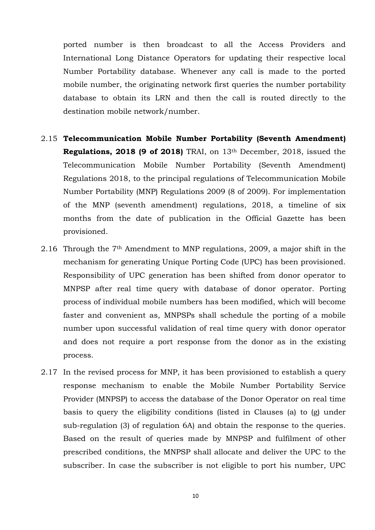ported number is then broadcast to all the Access Providers and International Long Distance Operators for updating their respective local Number Portability database. Whenever any call is made to the ported mobile number, the originating network first queries the number portability database to obtain its LRN and then the call is routed directly to the destination mobile network/number.

- 2.15 **Telecommunication Mobile Number Portability (Seventh Amendment) Regulations, 2018 (9 of 2018)** TRAI, on 13th December, 2018, issued the Telecommunication Mobile Number Portability (Seventh Amendment) Regulations 2018, to the principal regulations of Telecommunication Mobile Number Portability (MNP) Regulations 2009 (8 of 2009). For implementation of the MNP (seventh amendment) regulations, 2018, a timeline of six months from the date of publication in the Official Gazette has been provisioned.
- 2.16 Through the 7th Amendment to MNP regulations, 2009, a major shift in the mechanism for generating Unique Porting Code (UPC) has been provisioned. Responsibility of UPC generation has been shifted from donor operator to MNPSP after real time query with database of donor operator. Porting process of individual mobile numbers has been modified, which will become faster and convenient as, MNPSPs shall schedule the porting of a mobile number upon successful validation of real time query with donor operator and does not require a port response from the donor as in the existing process.
- 2.17 In the revised process for MNP, it has been provisioned to establish a query response mechanism to enable the Mobile Number Portability Service Provider (MNPSP) to access the database of the Donor Operator on real time basis to query the eligibility conditions (listed in Clauses (a) to (g) under sub-regulation (3) of regulation 6A) and obtain the response to the queries. Based on the result of queries made by MNPSP and fulfilment of other prescribed conditions, the MNPSP shall allocate and deliver the UPC to the subscriber. In case the subscriber is not eligible to port his number, UPC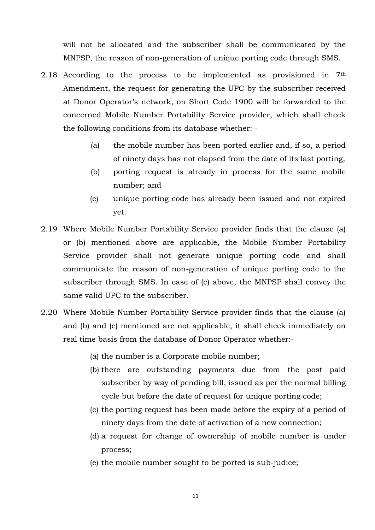will not be allocated and the subscriber shall be communicated by the MNPSP, the reason of non-generation of unique porting code through SMS.

- 2.18 According to the process to be implemented as provisioned in 7th Amendment, the request for generating the UPC by the subscriber received at Donor Operator's network, on Short Code 1900 will be forwarded to the concerned Mobile Number Portability Service provider, which shall check the following conditions from its database whether: -
	- (a) the mobile number has been ported earlier and, if so, a period of ninety days has not elapsed from the date of its last porting;
	- (b) porting request is already in process for the same mobile number; and
	- (c) unique porting code has already been issued and not expired yet.
- 2.19 Where Mobile Number Portability Service provider finds that the clause (a) or (b) mentioned above are applicable, the Mobile Number Portability Service provider shall not generate unique porting code and shall communicate the reason of non-generation of unique porting code to the subscriber through SMS. In case of (c) above, the MNPSP shall convey the same valid UPC to the subscriber.
- 2.20 Where Mobile Number Portability Service provider finds that the clause (a) and (b) and (c) mentioned are not applicable, it shall check immediately on real time basis from the database of Donor Operator whether:-
	- (a) the number is a Corporate mobile number;
	- (b) there are outstanding payments due from the post paid subscriber by way of pending bill, issued as per the normal billing cycle but before the date of request for unique porting code;
	- (c) the porting request has been made before the expiry of a period of ninety days from the date of activation of a new connection;
	- (d) a request for change of ownership of mobile number is under process;
	- (e) the mobile number sought to be ported is sub-judice;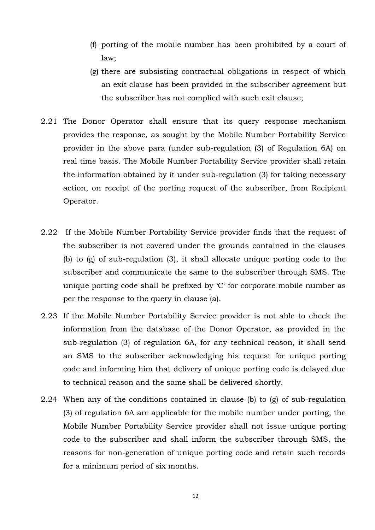- (f) porting of the mobile number has been prohibited by a court of law;
- (g) there are subsisting contractual obligations in respect of which an exit clause has been provided in the subscriber agreement but the subscriber has not complied with such exit clause;
- 2.21 The Donor Operator shall ensure that its query response mechanism provides the response, as sought by the Mobile Number Portability Service provider in the above para (under sub-regulation (3) of Regulation 6A) on real time basis. The Mobile Number Portability Service provider shall retain the information obtained by it under sub-regulation (3) for taking necessary action, on receipt of the porting request of the subscriber, from Recipient Operator.
- 2.22 If the Mobile Number Portability Service provider finds that the request of the subscriber is not covered under the grounds contained in the clauses (b) to (g) of sub-regulation (3), it shall allocate unique porting code to the subscriber and communicate the same to the subscriber through SMS. The unique porting code shall be prefixed by 'C' for corporate mobile number as per the response to the query in clause (a).
- 2.23 If the Mobile Number Portability Service provider is not able to check the information from the database of the Donor Operator, as provided in the sub-regulation (3) of regulation 6A, for any technical reason, it shall send an SMS to the subscriber acknowledging his request for unique porting code and informing him that delivery of unique porting code is delayed due to technical reason and the same shall be delivered shortly.
- 2.24 When any of the conditions contained in clause (b) to (g) of sub-regulation (3) of regulation 6A are applicable for the mobile number under porting, the Mobile Number Portability Service provider shall not issue unique porting code to the subscriber and shall inform the subscriber through SMS, the reasons for non-generation of unique porting code and retain such records for a minimum period of six months.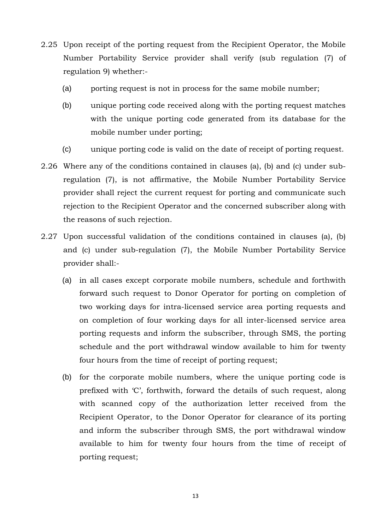- 2.25 Upon receipt of the porting request from the Recipient Operator, the Mobile Number Portability Service provider shall verify (sub regulation (7) of regulation 9) whether:-
	- (a) porting request is not in process for the same mobile number;
	- (b) unique porting code received along with the porting request matches with the unique porting code generated from its database for the mobile number under porting;
	- (c) unique porting code is valid on the date of receipt of porting request.
- 2.26 Where any of the conditions contained in clauses (a), (b) and (c) under subregulation (7), is not affirmative, the Mobile Number Portability Service provider shall reject the current request for porting and communicate such rejection to the Recipient Operator and the concerned subscriber along with the reasons of such rejection.
- 2.27 Upon successful validation of the conditions contained in clauses (a), (b) and (c) under sub-regulation (7), the Mobile Number Portability Service provider shall:-
	- (a) in all cases except corporate mobile numbers, schedule and forthwith forward such request to Donor Operator for porting on completion of two working days for intra-licensed service area porting requests and on completion of four working days for all inter-licensed service area porting requests and inform the subscriber, through SMS, the porting schedule and the port withdrawal window available to him for twenty four hours from the time of receipt of porting request;
	- (b) for the corporate mobile numbers, where the unique porting code is prefixed with 'C', forthwith, forward the details of such request, along with scanned copy of the authorization letter received from the Recipient Operator, to the Donor Operator for clearance of its porting and inform the subscriber through SMS, the port withdrawal window available to him for twenty four hours from the time of receipt of porting request;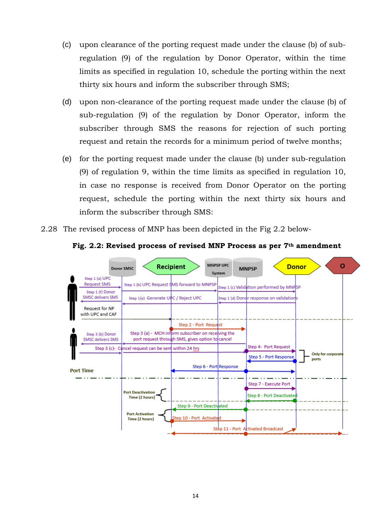- (c) upon clearance of the porting request made under the clause (b) of subregulation (9) of the regulation by Donor Operator, within the time limits as specified in regulation 10, schedule the porting within the next thirty six hours and inform the subscriber through SMS;
- (d) upon non-clearance of the porting request made under the clause (b) of sub-regulation (9) of the regulation by Donor Operator, inform the subscriber through SMS the reasons for rejection of such porting request and retain the records for a minimum period of twelve months;
- (e) for the porting request made under the clause (b) under sub-regulation (9) of regulation 9, within the time limits as specified in regulation 10, in case no response is received from Donor Operator on the porting request, schedule the porting within the next thirty six hours and inform the subscriber through SMS:
- 2.28 The revised process of MNP has been depicted in the Fig 2.2 below-



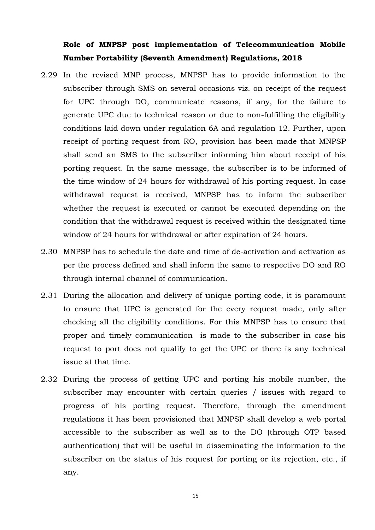# **Role of MNPSP post implementation of Telecommunication Mobile Number Portability (Seventh Amendment) Regulations, 2018**

- 2.29 In the revised MNP process, MNPSP has to provide information to the subscriber through SMS on several occasions viz. on receipt of the request for UPC through DO, communicate reasons, if any, for the failure to generate UPC due to technical reason or due to non-fulfilling the eligibility conditions laid down under regulation 6A and regulation 12. Further, upon receipt of porting request from RO, provision has been made that MNPSP shall send an SMS to the subscriber informing him about receipt of his porting request. In the same message, the subscriber is to be informed of the time window of 24 hours for withdrawal of his porting request. In case withdrawal request is received, MNPSP has to inform the subscriber whether the request is executed or cannot be executed depending on the condition that the withdrawal request is received within the designated time window of 24 hours for withdrawal or after expiration of 24 hours.
- 2.30 MNPSP has to schedule the date and time of de-activation and activation as per the process defined and shall inform the same to respective DO and RO through internal channel of communication.
- 2.31 During the allocation and delivery of unique porting code, it is paramount to ensure that UPC is generated for the every request made, only after checking all the eligibility conditions. For this MNPSP has to ensure that proper and timely communication is made to the subscriber in case his request to port does not qualify to get the UPC or there is any technical issue at that time.
- 2.32 During the process of getting UPC and porting his mobile number, the subscriber may encounter with certain queries / issues with regard to progress of his porting request. Therefore, through the amendment regulations it has been provisioned that MNPSP shall develop a web portal accessible to the subscriber as well as to the DO (through OTP based authentication) that will be useful in disseminating the information to the subscriber on the status of his request for porting or its rejection, etc., if any.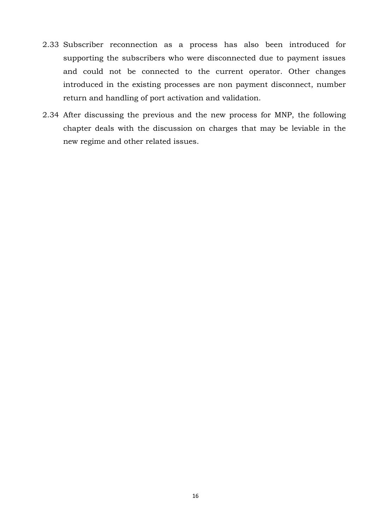- 2.33 Subscriber reconnection as a process has also been introduced for supporting the subscribers who were disconnected due to payment issues and could not be connected to the current operator. Other changes introduced in the existing processes are non payment disconnect, number return and handling of port activation and validation.
- 2.34 After discussing the previous and the new process for MNP, the following chapter deals with the discussion on charges that may be leviable in the new regime and other related issues.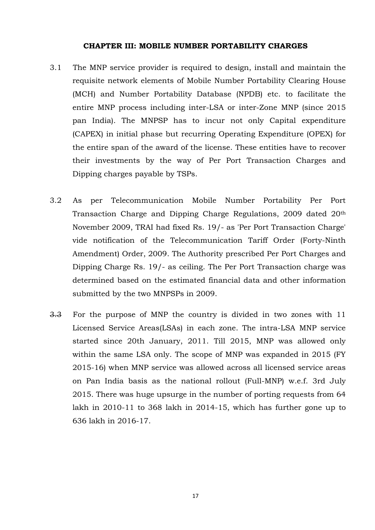#### **CHAPTER III: MOBILE NUMBER PORTABILITY CHARGES**

- <span id="page-19-0"></span>3.1 The MNP service provider is required to design, install and maintain the requisite network elements of Mobile Number Portability Clearing House (MCH) and Number Portability Database (NPDB) etc. to facilitate the entire MNP process including inter-LSA or inter-Zone MNP (since 2015 pan India). The MNPSP has to incur not only Capital expenditure (CAPEX) in initial phase but recurring Operating Expenditure (OPEX) for the entire span of the award of the license. These entities have to recover their investments by the way of Per Port Transaction Charges and Dipping charges payable by TSPs.
- 3.2 As per Telecommunication Mobile Number Portability Per Port Transaction Charge and Dipping Charge Regulations, 2009 dated 20th November 2009, TRAI had fixed Rs. 19/- as 'Per Port Transaction Charge' vide notification of the Telecommunication Tariff Order (Forty-Ninth Amendment) Order, 2009. The Authority prescribed Per Port Charges and Dipping Charge Rs. 19/- as ceiling. The Per Port Transaction charge was determined based on the estimated financial data and other information submitted by the two MNPSPs in 2009.
- 3.3 For the purpose of MNP the country is divided in two zones with 11 Licensed Service Areas(LSAs) in each zone. The intra-LSA MNP service started since 20th January, 2011. Till 2015, MNP was allowed only within the same LSA only. The scope of MNP was expanded in 2015 (FY 2015-16) when MNP service was allowed across all licensed service areas on Pan India basis as the national rollout (Full-MNP) w.e.f. 3rd July 2015. There was huge upsurge in the number of porting requests from 64 lakh in 2010-11 to 368 lakh in 2014-15, which has further gone up to 636 lakh in 2016-17.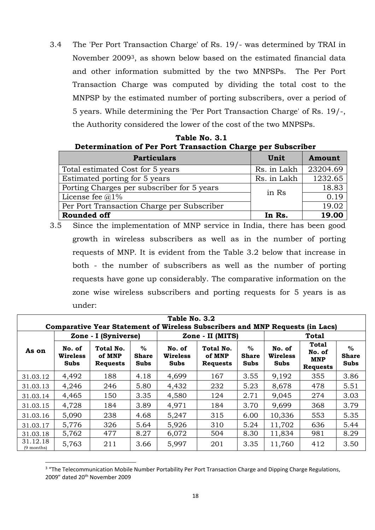3.4 The 'Per Port Transaction Charge' of Rs. 19/- was determined by TRAI in November 20093, as shown below based on the estimated financial data and other information submitted by the two MNPSPs. The Per Port Transaction Charge was computed by dividing the total cost to the MNPSP by the estimated number of porting subscribers, over a period of 5 years. While determining the 'Per Port Transaction Charge' of Rs. 19/-, the Authority considered the lower of the cost of the two MNPSPs.

| Table No. 3.1                                               |
|-------------------------------------------------------------|
| Determination of Per Port Transaction Charge per Subscriber |

| <b>Particulars</b>                         | Unit        | Amount   |
|--------------------------------------------|-------------|----------|
| Total estimated Cost for 5 years           | Rs. in Lakh | 23204.69 |
| Estimated porting for 5 years              | Rs. in Lakh | 1232.65  |
| Porting Charges per subscriber for 5 years | in Rs       | 18.83    |
| License fee $@1\%$                         |             | 0.19     |
| Per Port Transaction Charge per Subscriber |             | 19.02    |
| <b>Rounded off</b>                         | In Rs.      | 19.00    |

3.5 Since the implementation of MNP service in India, there has been good growth in wireless subscribers as well as in the number of porting requests of MNP. It is evident from the Table 3.2 below that increase in both - the number of subscribers as well as the number of porting requests have gone up considerably. The comparative information on the zone wise wireless subscribers and porting requests for 5 years is as under:

| Table No. 3.2<br>Comparative Year Statement of Wireless Subscribers and MNP Requests (in Lacs) |                                                   |                                        |                                     |                                   |                                        |                                     |                                   |                                           |                                     |
|------------------------------------------------------------------------------------------------|---------------------------------------------------|----------------------------------------|-------------------------------------|-----------------------------------|----------------------------------------|-------------------------------------|-----------------------------------|-------------------------------------------|-------------------------------------|
|                                                                                                | Zone - I (Syniverse)<br>Zone - II (MITS)<br>Total |                                        |                                     |                                   |                                        |                                     |                                   |                                           |                                     |
| As on                                                                                          | No. of<br><b>Wireless</b><br>Subs                 | Total No.<br>of MNP<br><b>Requests</b> | $\%$<br><b>Share</b><br><b>Subs</b> | No. of<br><b>Wireless</b><br>Subs | Total No.<br>of MNP<br><b>Requests</b> | $\%$<br><b>Share</b><br><b>Subs</b> | No. of<br><b>Wireless</b><br>Subs | Total<br>No. of<br>MNP<br><b>Requests</b> | $\%$<br><b>Share</b><br><b>Subs</b> |
| 31.03.12                                                                                       | 4,492                                             | 188                                    | 4.18                                | 4,699                             | 167                                    | 3.55                                | 9,192                             | 355                                       | 3.86                                |
| 31.03.13                                                                                       | 4,246                                             | 246                                    | 5.80                                | 4,432                             | 232                                    | 5.23                                | 8,678                             | 478                                       | 5.51                                |
| 31.03.14                                                                                       | 4,465                                             | 150                                    | 3.35                                | 4,580                             | 124                                    | 2.71                                | 9,045                             | 274                                       | 3.03                                |
| 31.03.15                                                                                       | 4,728                                             | 184                                    | 3.89                                | 4,971                             | 184                                    | 3.70                                | 9,699                             | 368                                       | 3.79                                |
| 31.03.16                                                                                       | 5,090                                             | 238                                    | 4.68                                | 5,247                             | 315                                    | 6.00                                | 10,336                            | 553                                       | 5.35                                |
| 31.03.17                                                                                       | 5,776                                             | 326                                    | 5.64                                | 5,926                             | 310                                    | 5.24                                | 11,702                            | 636                                       | 5.44                                |
| 31.03.18                                                                                       | 5,762                                             | 477                                    | 8.27                                | 6,072                             | 504                                    | 8.30                                | 11,834                            | 981                                       | 8.29                                |
| 31.12.18<br>$(9$ months)                                                                       | 5,763                                             | 211                                    | 3.66                                | 5,997                             | 201                                    | 3.35                                | 11,760                            | 412                                       | 3.50                                |

<sup>&</sup>lt;sup>3</sup> "The Telecommunication Mobile Number Portability Per Port Transaction Charge and Dipping Charge Regulations, 2009" dated 20<sup>th</sup> November 2009

**.**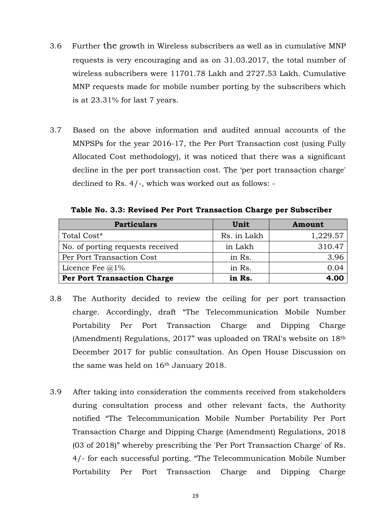- 3.6 Further the growth in Wireless subscribers as well as in cumulative MNP requests is very encouraging and as on 31.03.2017, the total number of wireless subscribers were 11701.78 Lakh and 2727.53 Lakh. Cumulative MNP requests made for mobile number porting by the subscribers which is at 23.31% for last 7 years.
- 3.7 Based on the above information and audited annual accounts of the MNPSPs for the year 2016-17, the Per Port Transaction cost (using Fully Allocated Cost methodology), it was noticed that there was a significant decline in the per port transaction cost. The 'per port transaction charge' declined to Rs. 4/-, which was worked out as follows: -

**Table No. 3.3: Revised Per Port Transaction Charge per Subscriber**

| <b>Particulars</b>                 | Unit        | Amount   |
|------------------------------------|-------------|----------|
| Total Cost*                        | Rs. in Lakh | 1,229.57 |
| No. of porting requests received   | in Lakh     | 310.47   |
| Per Port Transaction Cost          | in Rs.      | 3.96     |
| Licence Fee $@1\%$                 | in Rs.      | 0.04     |
| <b>Per Port Transaction Charge</b> | in Rs.      | 4.00     |

- 3.8 The Authority decided to review the ceiling for per port transaction charge. Accordingly, draft "The Telecommunication Mobile Number Portability Per Port Transaction Charge and Dipping Charge (Amendment) Regulations, 2017" was uploaded on TRAI's website on 18th December 2017 for public consultation. An Open House Discussion on the same was held on 16th January 2018.
- 3.9 After taking into consideration the comments received from stakeholders during consultation process and other relevant facts, the Authority notified "The Telecommunication Mobile Number Portability Per Port Transaction Charge and Dipping Charge (Amendment) Regulations, 2018 (03 of 2018)" whereby prescribing the 'Per Port Transaction Charge' of Rs. 4/- for each successful porting. "The Telecommunication Mobile Number Portability Per Port Transaction Charge and Dipping Charge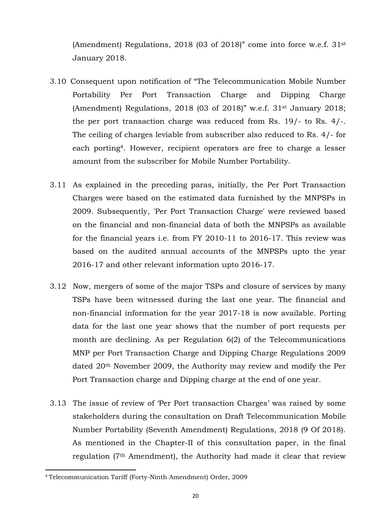(Amendment) Regulations, 2018 (03 of 2018)" come into force w.e.f. 31st January 2018.

- 3.10 Consequent upon notification of "The Telecommunication Mobile Number Portability Per Port Transaction Charge and Dipping Charge (Amendment) Regulations, 2018 (03 of 2018)" w.e.f. 31st January 2018; the per port transaction charge was reduced from Rs. 19/- to Rs. 4/-. The ceiling of charges leviable from subscriber also reduced to Rs. 4/- for each porting4. However, recipient operators are free to charge a lesser amount from the subscriber for Mobile Number Portability.
- 3.11 As explained in the preceding paras, initially, the Per Port Transaction Charges were based on the estimated data furnished by the MNPSPs in 2009. Subsequently, 'Per Port Transaction Charge' were reviewed based on the financial and non-financial data of both the MNPSPs as available for the financial years i.e. from FY 2010-11 to 2016-17. This review was based on the audited annual accounts of the MNPSPs upto the year 2016-17 and other relevant information upto 2016-17.
- 3.12 Now, mergers of some of the major TSPs and closure of services by many TSPs have been witnessed during the last one year. The financial and non-financial information for the year 2017-18 is now available. Porting data for the last one year shows that the number of port requests per month are declining. As per Regulation 6(2) of the Telecommunications MNP per Port Transaction Charge and Dipping Charge Regulations 2009 dated 20th November 2009, the Authority may review and modify the Per Port Transaction charge and Dipping charge at the end of one year.
- 3.13 The issue of review of 'Per Port transaction Charges' was raised by some stakeholders during the consultation on Draft Telecommunication Mobile Number Portability (Seventh Amendment) Regulations, 2018 (9 Of 2018). As mentioned in the Chapter-II of this consultation paper, in the final regulation (7th Amendment), the Authority had made it clear that review

 $\overline{a}$ 

<sup>4</sup> Telecommunication Tariff (Forty-Ninth Amendment) Order, 2009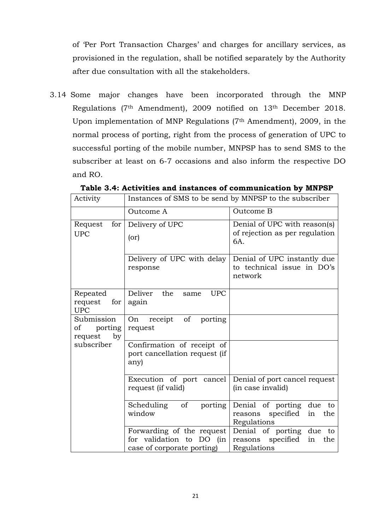of 'Per Port Transaction Charges' and charges for ancillary services, as provisioned in the regulation, shall be notified separately by the Authority after due consultation with all the stakeholders.

3.14 Some major changes have been incorporated through the MNP Regulations (7th Amendment), 2009 notified on 13th December 2018. Upon implementation of MNP Regulations (7th Amendment), 2009, in the normal process of porting, right from the process of generation of UPC to successful porting of the mobile number, MNPSP has to send SMS to the subscriber at least on 6-7 occasions and also inform the respective DO and RO.

| Activity                                     | Instances of SMS to be send by MNPSP to the subscriber                              |                                                                                 |  |  |
|----------------------------------------------|-------------------------------------------------------------------------------------|---------------------------------------------------------------------------------|--|--|
|                                              | Outcome A                                                                           | Outcome B                                                                       |  |  |
| for<br>Request<br><b>UPC</b>                 | Delivery of UPC<br>(or)                                                             | Denial of UPC with reason(s)<br>of rejection as per regulation<br>6A.           |  |  |
|                                              | Delivery of UPC with delay<br>response                                              | Denial of UPC instantly due<br>to technical issue in DO's<br>network            |  |  |
| Repeated<br>request<br>for<br><b>UPC</b>     | Deliver<br>the<br><b>UPC</b><br>same<br>again                                       |                                                                                 |  |  |
| Submission<br>porting<br>οf<br>by<br>request | of<br>receipt<br>porting<br>On<br>request                                           |                                                                                 |  |  |
| subscriber                                   | Confirmation of receipt of<br>port cancellation request (if<br>any)                 |                                                                                 |  |  |
|                                              | Execution of port cancel<br>request (if valid)                                      | Denial of port cancel request<br>(in case invalid)                              |  |  |
|                                              | Scheduling<br>$\sigma$<br>porting<br>window                                         | Denial of porting due<br>to<br>specified<br>in<br>the<br>reasons<br>Regulations |  |  |
|                                              | Forwarding of the request<br>for validation to DO (in<br>case of corporate porting) | Denial of porting due<br>to<br>reasons specified<br>in<br>the<br>Regulations    |  |  |

**Table 3.4: Activities and instances of communication by MNPSP**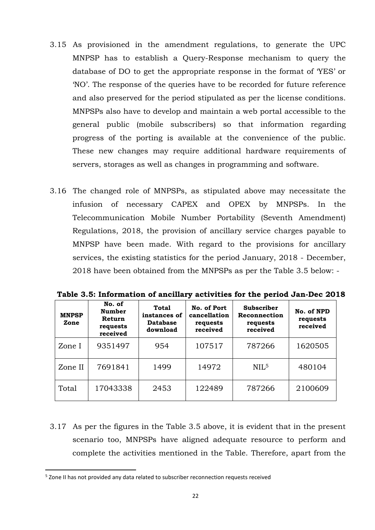- 3.15 As provisioned in the amendment regulations, to generate the UPC MNPSP has to establish a Query-Response mechanism to query the database of DO to get the appropriate response in the format of 'YES' or 'NO'. The response of the queries have to be recorded for future reference and also preserved for the period stipulated as per the license conditions. MNPSPs also have to develop and maintain a web portal accessible to the general public (mobile subscribers) so that information regarding progress of the porting is available at the convenience of the public. These new changes may require additional hardware requirements of servers, storages as well as changes in programming and software.
- 3.16 The changed role of MNPSPs, as stipulated above may necessitate the infusion of necessary CAPEX and OPEX by MNPSPs. In the Telecommunication Mobile Number Portability (Seventh Amendment) Regulations, 2018, the provision of ancillary service charges payable to MNPSP have been made. With regard to the provisions for ancillary services, the existing statistics for the period January, 2018 - December, 2018 have been obtained from the MNPSPs as per the Table 3.5 below: -

| <b>MNPSP</b><br>Zone | No. of<br><b>Number</b><br>Return<br>requests<br>received | Total<br>instances of<br><b>Database</b><br>download | No. of Port<br>cancellation<br>requests<br>received | <b>Subscriber</b><br>Reconnection<br>requests<br>received | No. of NPD<br>requests<br>received |
|----------------------|-----------------------------------------------------------|------------------------------------------------------|-----------------------------------------------------|-----------------------------------------------------------|------------------------------------|
| Zone I               | 9351497                                                   | 954                                                  | 107517                                              | 787266                                                    | 1620505                            |
| Zone II              | 7691841                                                   | 1499                                                 | 14972                                               | NIL <sub>5</sub>                                          | 480104                             |
| Total                | 17043338                                                  | 2453                                                 | 122489                                              | 787266                                                    | 2100609                            |

**Table 3.5: Information of ancillary activities for the period Jan-Dec 2018**

3.17 As per the figures in the Table 3.5 above, it is evident that in the present scenario too, MNPSPs have aligned adequate resource to perform and complete the activities mentioned in the Table. Therefore, apart from the

 $\overline{a}$ 

<sup>&</sup>lt;sup>5</sup> Zone II has not provided any data related to subscriber reconnection requests received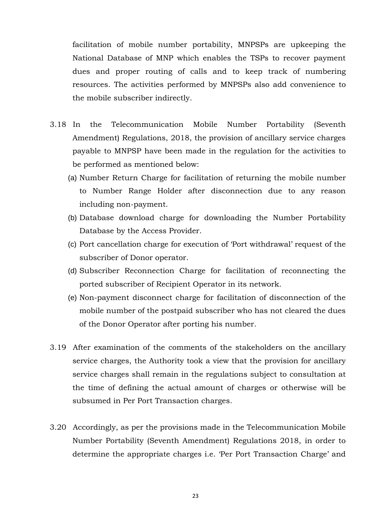facilitation of mobile number portability, MNPSPs are upkeeping the National Database of MNP which enables the TSPs to recover payment dues and proper routing of calls and to keep track of numbering resources. The activities performed by MNPSPs also add convenience to the mobile subscriber indirectly.

- 3.18 In the Telecommunication Mobile Number Portability (Seventh Amendment) Regulations, 2018, the provision of ancillary service charges payable to MNPSP have been made in the regulation for the activities to be performed as mentioned below:
	- (a) Number Return Charge for facilitation of returning the mobile number to Number Range Holder after disconnection due to any reason including non-payment.
	- (b) Database download charge for downloading the Number Portability Database by the Access Provider.
	- (c) Port cancellation charge for execution of 'Port withdrawal' request of the subscriber of Donor operator.
	- (d) Subscriber Reconnection Charge for facilitation of reconnecting the ported subscriber of Recipient Operator in its network.
	- (e) Non-payment disconnect charge for facilitation of disconnection of the mobile number of the postpaid subscriber who has not cleared the dues of the Donor Operator after porting his number.
- 3.19 After examination of the comments of the stakeholders on the ancillary service charges, the Authority took a view that the provision for ancillary service charges shall remain in the regulations subject to consultation at the time of defining the actual amount of charges or otherwise will be subsumed in Per Port Transaction charges.
- 3.20 Accordingly, as per the provisions made in the Telecommunication Mobile Number Portability (Seventh Amendment) Regulations 2018, in order to determine the appropriate charges i.e. 'Per Port Transaction Charge' and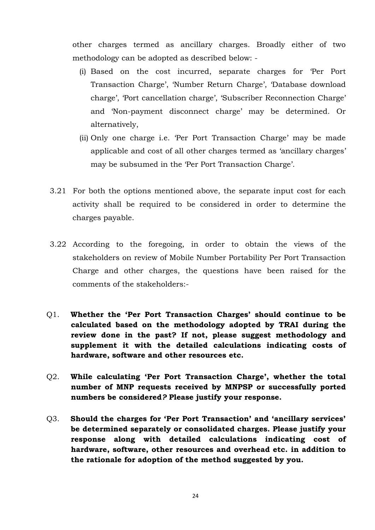other charges termed as ancillary charges. Broadly either of two methodology can be adopted as described below: -

- (i) Based on the cost incurred, separate charges for 'Per Port Transaction Charge', 'Number Return Charge', 'Database download charge', 'Port cancellation charge', 'Subscriber Reconnection Charge' and 'Non-payment disconnect charge' may be determined. Or alternatively,
- (ii) Only one charge i.e. 'Per Port Transaction Charge' may be made applicable and cost of all other charges termed as 'ancillary charges' may be subsumed in the 'Per Port Transaction Charge'.
- 3.21 For both the options mentioned above, the separate input cost for each activity shall be required to be considered in order to determine the charges payable.
- 3.22 According to the foregoing, in order to obtain the views of the stakeholders on review of Mobile Number Portability Per Port Transaction Charge and other charges, the questions have been raised for the comments of the stakeholders:-
- Q1. **Whether the 'Per Port Transaction Charges' should continue to be calculated based on the methodology adopted by TRAI during the review done in the past? If not, please suggest methodology and supplement it with the detailed calculations indicating costs of hardware, software and other resources etc.**
- Q2. **While calculating 'Per Port Transaction Charge', whether the total number of MNP requests received by MNPSP or successfully ported numbers be considered***?* **Please justify your response.**
- Q3. **Should the charges for 'Per Port Transaction' and 'ancillary services' be determined separately or consolidated charges. Please justify your response along with detailed calculations indicating cost of hardware, software, other resources and overhead etc. in addition to the rationale for adoption of the method suggested by you.**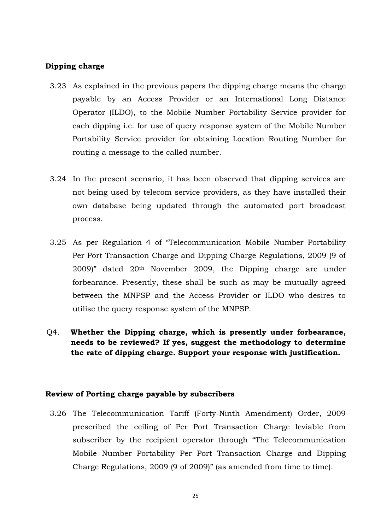# **Dipping charge**

- 3.23 As explained in the previous papers the dipping charge means the charge payable by an Access Provider or an International Long Distance Operator (ILDO), to the Mobile Number Portability Service provider for each dipping i.e. for use of query response system of the Mobile Number Portability Service provider for obtaining Location Routing Number for routing a message to the called number.
- 3.24 In the present scenario, it has been observed that dipping services are not being used by telecom service providers, as they have installed their own database being updated through the automated port broadcast process.
- 3.25 As per Regulation 4 of "Telecommunication Mobile Number Portability Per Port Transaction Charge and Dipping Charge Regulations, 2009 (9 of 2009)" dated 20th November 2009, the Dipping charge are under forbearance. Presently, these shall be such as may be mutually agreed between the MNPSP and the Access Provider or ILDO who desires to utilise the query response system of the MNPSP.
- Q4. **Whether the Dipping charge, which is presently under forbearance, needs to be reviewed? If yes, suggest the methodology to determine the rate of dipping charge. Support your response with justification.**

#### **Review of Porting charge payable by subscribers**

3.26 The Telecommunication Tariff (Forty-Ninth Amendment) Order, 2009 prescribed the ceiling of Per Port Transaction Charge leviable from subscriber by the recipient operator through "The Telecommunication Mobile Number Portability Per Port Transaction Charge and Dipping Charge Regulations, 2009 (9 of 2009)" (as amended from time to time).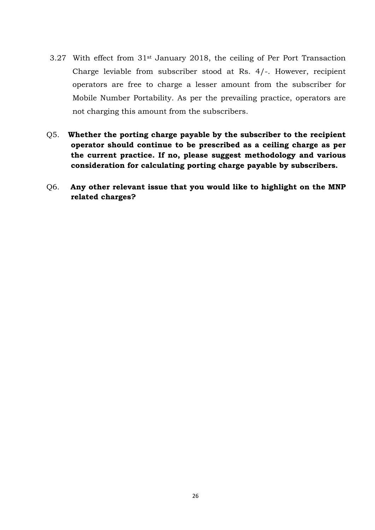- 3.27 With effect from 31st January 2018, the ceiling of Per Port Transaction Charge leviable from subscriber stood at Rs. 4/-. However, recipient operators are free to charge a lesser amount from the subscriber for Mobile Number Portability. As per the prevailing practice, operators are not charging this amount from the subscribers.
- Q5. **Whether the porting charge payable by the subscriber to the recipient operator should continue to be prescribed as a ceiling charge as per the current practice. If no, please suggest methodology and various consideration for calculating porting charge payable by subscribers.**
- Q6. **Any other relevant issue that you would like to highlight on the MNP related charges?**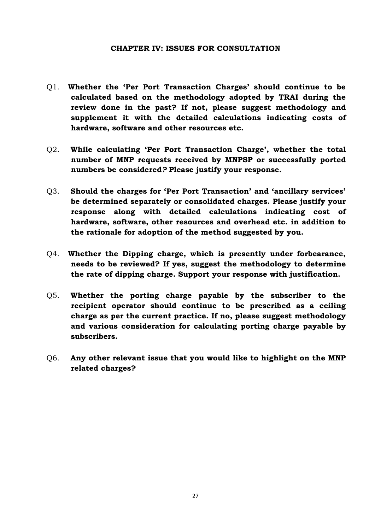## **CHAPTER IV: ISSUES FOR CONSULTATION**

- <span id="page-29-0"></span>Q1. **Whether the 'Per Port Transaction Charges' should continue to be calculated based on the methodology adopted by TRAI during the review done in the past? If not, please suggest methodology and supplement it with the detailed calculations indicating costs of hardware, software and other resources etc.**
- Q2. **While calculating 'Per Port Transaction Charge', whether the total number of MNP requests received by MNPSP or successfully ported numbers be considered***?* **Please justify your response.**
- Q3. **Should the charges for 'Per Port Transaction' and 'ancillary services' be determined separately or consolidated charges. Please justify your response along with detailed calculations indicating cost of hardware, software, other resources and overhead etc. in addition to the rationale for adoption of the method suggested by you.**
- Q4. **Whether the Dipping charge, which is presently under forbearance, needs to be reviewed? If yes, suggest the methodology to determine the rate of dipping charge. Support your response with justification.**
- Q5. **Whether the porting charge payable by the subscriber to the recipient operator should continue to be prescribed as a ceiling charge as per the current practice. If no, please suggest methodology and various consideration for calculating porting charge payable by subscribers.**
- Q6. **Any other relevant issue that you would like to highlight on the MNP related charges?**